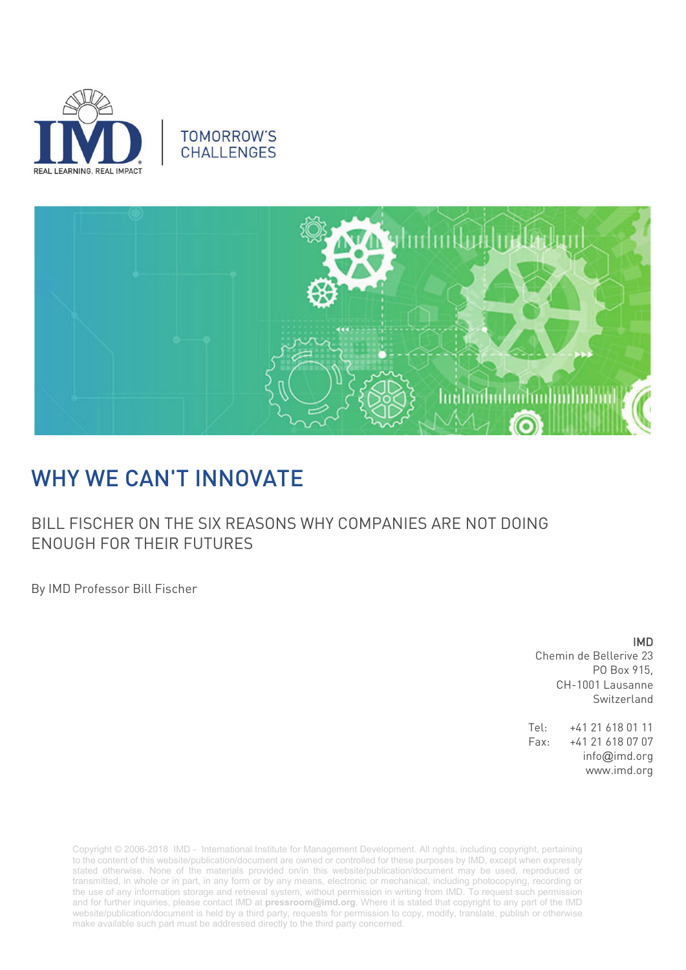





## WHY WE CAN'T INNOVATE

BILL FISCHER ON THE SIX REASONS WHY COMPANIES ARE NOT DOING ENOUGH FOR THEIR FUTURES

By IMD Professor Bill Fischer

IMD Chemin de Bellerive 23 PO Box 915, CH-1001 Lausanne Switzerland

Tel: +41 21 618 01 11 Fax: +41 21 618 07 07 info@imd.org www.imd.org

Copyright © 2006-2018 IMD - International Institute for Management Development. All rights, including copyright, pertaining to the content of this website/publication/document are owned or controlled for these purposes by IMD, except when expressly stated otherwise. None of the materials provided on/in this website/publication/document may be used, reproduced or transmitted, in whole or in part, in any form or by any means, electronic or mechanical, including photocopying, recording or the use of any information storage and retrieval system, without permission in writing from IMD. To request such permission and for further inquiries, please contact IMD at **[pressroom@imd.org](mailto:pressroom@imd.org)**. Where it is stated that copyright to any part of the IMD website/publication/document is held by a third party, requests for permission to copy, modify, translate, publish or otherwise make available such part must be addressed directly to the third party concerned.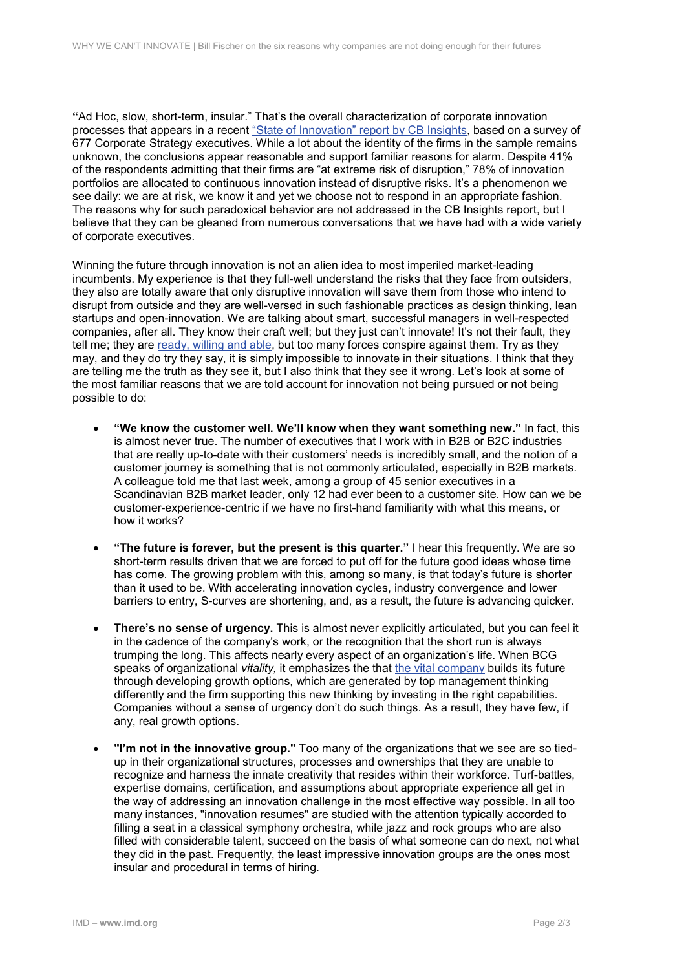**"**Ad Hoc, slow, short-term, insular." That's the overall characterization of corporate innovation processes that appears in a recent ["State of Innovation" report by CB Insights,](https://www.cbinsights.com/research-state-of-innovation-report) based on a survey of 677 Corporate Strategy executives. While a lot about the identity of the firms in the sample remains unknown, the conclusions appear reasonable and support familiar reasons for alarm. Despite 41% of the respondents admitting that their firms are "at extreme risk of disruption," 78% of innovation portfolios are allocated to continuous innovation instead of disruptive risks. It's a phenomenon we see daily: we are at risk, we know it and yet we choose not to respond in an appropriate fashion. The reasons why for such paradoxical behavior are not addressed in the CB Insights report, but I believe that they can be gleaned from numerous conversations that we have had with a wide variety of corporate executives.

Winning the future through innovation is not an alien idea to most imperiled market-leading incumbents. My experience is that they full-well understand the risks that they face from outsiders, they also are totally aware that only disruptive innovation will save them from those who intend to disrupt from outside and they are well-versed in such fashionable practices as design thinking, lean startups and open-innovation. We are talking about smart, successful managers in well-respected companies, after all. They know their craft well; but they just can't innovate! It's not their fault, they tell me; they are [ready, willing and able,](https://www.forbes.com/sites/billfischer/2011/06/03/ready-fire-aim/#7f6d528a3039) but too many forces conspire against them. Try as they may, and they do try they say, it is simply impossible to innovate in their situations. I think that they are telling me the truth as they see it, but I also think that they see it wrong. Let's look at some of the most familiar reasons that we are told account for innovation not being pursued or not being possible to do:

- **"We know the customer well. We'll know when they want something new."** In fact, this is almost never true. The number of executives that I work with in B2B or B2C industries that are really up-to-date with their customers' needs is incredibly small, and the notion of a customer journey is something that is not commonly articulated, especially in B2B markets. A colleague told me that last week, among a group of 45 senior executives in a Scandinavian B2B market leader, only 12 had ever been to a customer site. How can we be customer-experience-centric if we have no first-hand familiarity with what this means, or how it works?
- **"The future is forever, but the present is this quarter."** I hear this frequently. We are so short-term results driven that we are forced to put off for the future good ideas whose time has come. The growing problem with this, among so many, is that today's future is shorter than it used to be. With accelerating innovation cycles, industry convergence and lower barriers to entry, S-curves are shortening, and, as a result, the future is advancing quicker.
- **There's no sense of urgency.** This is almost never explicitly articulated, but you can feel it in the cadence of the company's work, or the recognition that the short run is always trumping the long. This affects nearly every aspect of an organization's life. When BCG speaks of organizational *vitality,* it emphasizes the that [the vital company](https://www.bcg.com/publications/2018/vital-companies-think-act-thrive.aspx) builds its future through developing growth options, which are generated by top management thinking differently and the firm supporting this new thinking by investing in the right capabilities. Companies without a sense of urgency don't do such things. As a result, they have few, if any, real growth options.
- **"I'm not in the innovative group."** Too many of the organizations that we see are so tiedup in their organizational structures, processes and ownerships that they are unable to recognize and harness the innate creativity that resides within their workforce. Turf-battles, expertise domains, certification, and assumptions about appropriate experience all get in the way of addressing an innovation challenge in the most effective way possible. In all too many instances, "innovation resumes" are studied with the attention typically accorded to filling a seat in a classical symphony orchestra, while jazz and rock groups who are also filled with considerable talent, succeed on the basis of what someone can do next, not what they did in the past. Frequently, the least impressive innovation groups are the ones most insular and procedural in terms of hiring.